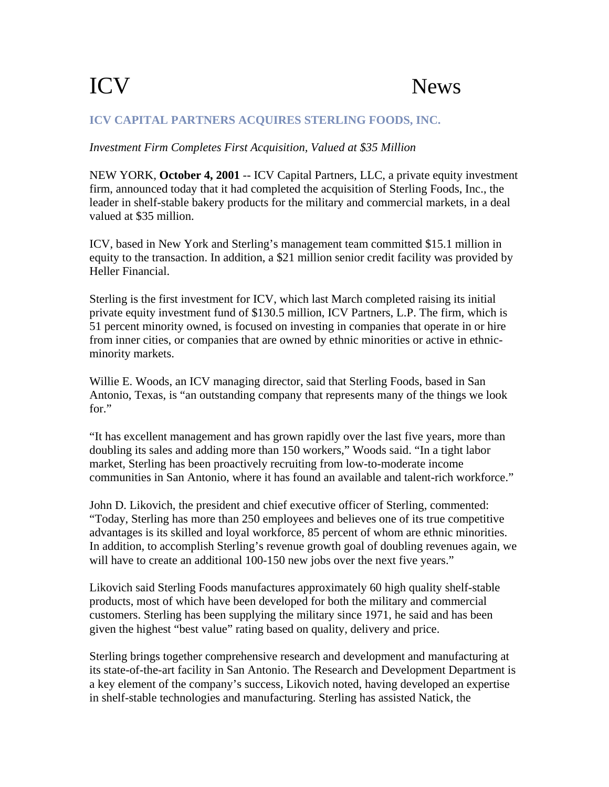## ICV News

## **ICV CAPITAL PARTNERS ACQUIRES STERLING FOODS, INC.**

## *Investment Firm Completes First Acquisition, Valued at \$35 Million*

NEW YORK, **October 4, 2001** -- ICV Capital Partners, LLC, a private equity investment firm, announced today that it had completed the acquisition of Sterling Foods, Inc., the leader in shelf-stable bakery products for the military and commercial markets, in a deal valued at \$35 million.

ICV, based in New York and Sterling's management team committed \$15.1 million in equity to the transaction. In addition, a \$21 million senior credit facility was provided by Heller Financial.

Sterling is the first investment for ICV, which last March completed raising its initial private equity investment fund of \$130.5 million, ICV Partners, L.P. The firm, which is 51 percent minority owned, is focused on investing in companies that operate in or hire from inner cities, or companies that are owned by ethnic minorities or active in ethnicminority markets.

Willie E. Woods, an ICV managing director, said that Sterling Foods, based in San Antonio, Texas, is "an outstanding company that represents many of the things we look for."

"It has excellent management and has grown rapidly over the last five years, more than doubling its sales and adding more than 150 workers," Woods said. "In a tight labor market, Sterling has been proactively recruiting from low-to-moderate income communities in San Antonio, where it has found an available and talent-rich workforce."

John D. Likovich, the president and chief executive officer of Sterling, commented: "Today, Sterling has more than 250 employees and believes one of its true competitive advantages is its skilled and loyal workforce, 85 percent of whom are ethnic minorities. In addition, to accomplish Sterling's revenue growth goal of doubling revenues again, we will have to create an additional 100-150 new jobs over the next five years."

Likovich said Sterling Foods manufactures approximately 60 high quality shelf-stable products, most of which have been developed for both the military and commercial customers. Sterling has been supplying the military since 1971, he said and has been given the highest "best value" rating based on quality, delivery and price.

Sterling brings together comprehensive research and development and manufacturing at its state-of-the-art facility in San Antonio. The Research and Development Department is a key element of the company's success, Likovich noted, having developed an expertise in shelf-stable technologies and manufacturing. Sterling has assisted Natick, the